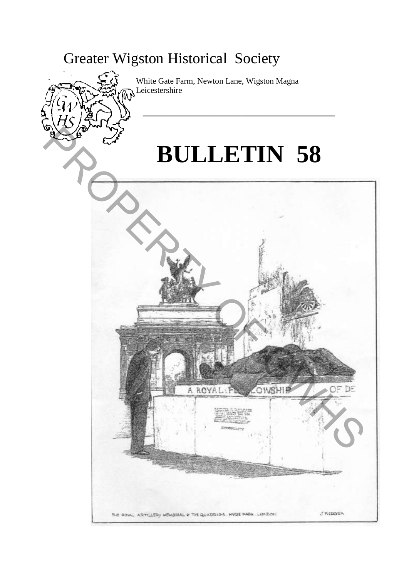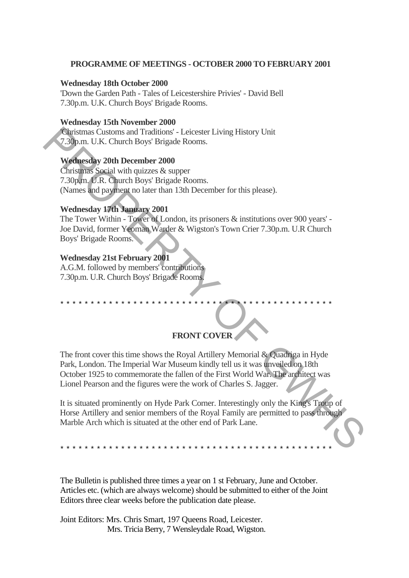### **PROGRAMME OF MEETINGS - OCTOBER 2000 TO FEBRUARY 2001**

### **Wednesday 18th October 2000**

'Down the Garden Path - Tales of Leicestershire Privies' - David Bell 7.30p.m. U.K. Church Boys' Brigade Rooms.

### **Wednesday 15th November 2000**

'Christmas Customs and Traditions' - Leicester Living History Unit 7.30p.m. U.K. Church Boys' Brigade Rooms.

## **Wednesday 20th December 2000**

Christmas Social with quizzes & supper 7.30p.m. U.R. Church Boys' Brigade Rooms. (Names and payment no later than 13th December for this please).

## **Wednesday 17th January 2001**

The Tower Within - Tower of London, its prisoners & institutions over 900 years' - Joe David, former Yeoman Warder & Wigston's Town Crier 7.30p.m. U.R Church Boys' Brigade Rooms.

### **Wednesday 21st February 2001**

A.G.M. followed by members' contributions 7.30p.m. U.R. Church Boys' Brigade Rooms.

# **FRONT COVER**

The front cover this time shows the Royal Artillery Memorial & Quadriga in Hyde Park, London. The Imperial War Museum kindly tell us it was unveiled on 18th October 1925 to commemorate the fallen of the First World War. The architect was Lionel Pearson and the figures were the work of Charles S. Jagger. Customs and Traditions' - Leicester Living History Unit<br>
7.330p.m. U.K. Church Boys' Brigade Rooms.<br>
We christens Social with quize as a super<br>
7.30pm. U.R. Church Boys' Brigade Rooms.<br>
7.30pm. U.R. Church Boys Brigade Roo

\*\*\*\*\*\*\*\*\*\*\*\*\*\*\*\*\*\*\*\*\*\*\*\*\*\*\*\*\*\*\*\*\*\*\*\*\*\*\*\*\*\*\*\*\*

It is situated prominently on Hyde Park Corner. Interestingly only the King's Troup of Horse Artillery and senior members of the Royal Family are permitted to pass through Marble Arch which is situated at the other end of Park Lane.

\*\*\*\*\*\*\*\*\*\*\*\*\*\*\*\*\*\*\*\*\*\*\*\*\*\*\*\*\*\*\*\*\*\*\*\*\*\*\*\*\*\*\*\*\*

The Bulletin is published three times a year on 1 st February, June and October. Articles etc. (which are always welcome) should be submitted to either of the Joint Editors three clear weeks before the publication date please.

Joint Editors: Mrs. Chris Smart, 197 Queens Road, Leicester. Mrs. Tricia Berry, 7 Wensleydale Road, Wigston.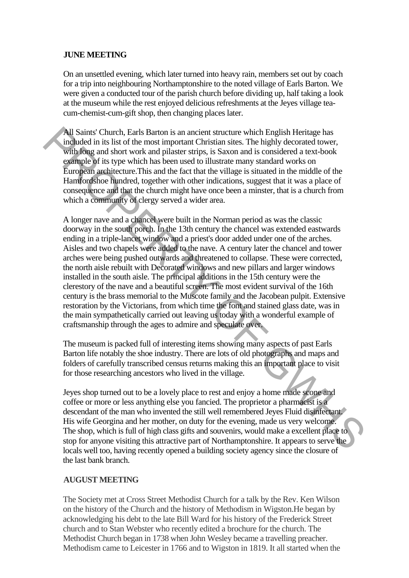# **JUNE MEETING**

On an unsettled evening, which later turned into heavy rain, members set out by coach for a trip into neighbouring Northamptonshire to the noted village of Earls Barton. We were given a conducted tour of the parish church before dividing up, half taking a look at the museum while the rest enjoyed delicious refreshments at the Jeyes village teacum-chemist-cum-gift shop, then changing places later.

All Saints' Church, Earls Barton is an ancient structure which English Heritage has included in its list of the most important Christian sites. The highly decorated tower, with long and short work and pilaster strips, is Saxon and is considered a text-book example of its type which has been used to illustrate many standard works on European architecture.This and the fact that the village is situated in the middle of the Hamfordshoe hundred, together with other indications, suggest that it was a place of consequence and that the church might have once been a minster, that is a church from which a community of clergy served a wider area.

A longer nave and a chancel were built in the Norman period as was the classic doorway in the south porch. In the 13th century the chancel was extended eastwards ending in a triple-lancet window and a priest's door added under one of the arches. Aisles and two chapels were added to the nave. A century later the chancel and tower arches were being pushed outwards and threatened to collapse. These were corrected, the north aisle rebuilt with Decorated windows and new pillars and larger windows installed in the south aisle. The principal additions in the 15th century were the clerestory of the nave and a beautiful screen. The most evident survival of the 16th century is the brass memorial to the Muscote family and the Jacobean pulpit. Extensive restoration by the Victorians, from which time the font and stained glass date, was in the main sympathetically carried out leaving us today with a wonderful example of craftsmanship through the ages to admire and speculate over. All Saints' Chnneh, Fants Barton is an ancient structure which English Heritage has<br>
included in its list of the most important Christian aics. The highly decorated tower,<br>
with long and short work and pilaster strips, is

The museum is packed full of interesting items showing many aspects of past Earls Barton life notably the shoe industry. There are lots of old photographs and maps and folders of carefully transcribed census returns making this an important place to visit for those researching ancestors who lived in the village.

Jeyes shop turned out to be a lovely place to rest and enjoy a home made scone and coffee or more or less anything else you fancied. The proprietor a pharmacist is a descendant of the man who invented the still well remembered Jeyes Fluid disinfectant. His wife Georgina and her mother, on duty for the evening, made us very welcome. The shop, which is full of high class gifts and souvenirs, would make a excellent place to stop for anyone visiting this attractive part of Northamptonshire. It appears to serve the locals well too, having recently opened a building society agency since the closure of the last bank branch.

### **AUGUST MEETING**

The Society met at Cross Street Methodist Church for a talk by the Rev. Ken Wilson on the history of the Church and the history of Methodism in Wigston.He began by acknowledging his debt to the late Bill Ward for his history of the Frederick Street church and to Stan Webster who recently edited a brochure for the church. The Methodist Church began in 1738 when John Wesley became a travelling preacher. Methodism came to Leicester in 1766 and to Wigston in 1819. It all started when the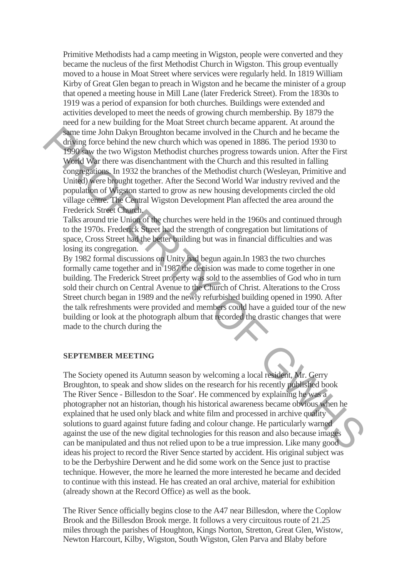Primitive Methodists had a camp meeting in Wigston, people were converted and they became the nucleus of the first Methodist Church in Wigston. This group eventually moved to a house in Moat Street where services were regularly held. In 1819 William Kirby of Great Glen began to preach in Wigston and he became the minister of a group that opened a meeting house in Mill Lane (later Frederick Street). From the 1830s to 1919 was a period of expansion for both churches. Buildings were extended and activities developed to meet the needs of growing church membership. By 1879 the need for a new building for the Moat Street church became apparent. At around the same time John Dakyn Broughton became involved in the Church and he became the driving force behind the new church which was opened in 1886. The period 1930 to 1990 saw the two Wigston Methodist churches progress towards union. After the First World War there was disenchantment with the Church and this resulted in falling congregations. In 1932 the branches of the Methodist church (Wesleyan, Primitive and United) were brought together. After the Second World War industry revived and the population of Wigston started to grow as new housing developments circled the old village centre. The Central Wigston Development Plan affected the area around the Frederick Street Church. Ameri and bohy Broughton became involved in the Church and be became the standard during force behind the new during have supercylines (and it is the priori of the SMS can be standard to the standard compatibility of the

Talks around trie Union of the churches were held in the 1960s and continued through to the 1970s. Frederick Street had the strength of congregation but limitations of space, Cross Street had the better building but was in financial difficulties and was losing its congregation.

By 1982 formal discussions on Unity had begun again.In 1983 the two churches formally came together and in 1987 the decision was made to come together in one building. The Frederick Street property was sold to the assemblies of God who in turn sold their church on Central Avenue to the Church of Christ. Alterations to the Cross Street church began in 1989 and the newly refurbished building opened in 1990. After the talk refreshments were provided and members could have a guided tour of the new building or look at the photograph album that recorded the drastic changes that were made to the church during the

#### **SEPTEMBER MEETING**

The Society opened its Autumn season by welcoming a local resident, Mr. Gerry Broughton, to speak and show slides on the research for his recently published book The River Sence - Billesdon to the Soar'. He commenced by explaining he was a photographer not an historian, though his historical awareness became obvious when he explained that he used only black and white film and processed in archive quality solutions to guard against future fading and colour change. He particularly warned against the use of the new digital technologies for this reason and also because images can be manipulated and thus not relied upon to be a true impression. Like many good ideas his project to record the River Sence started by accident. His original subject was to be the Derbyshire Derwent and he did some work on the Sence just to practise technique. However, the more he learned the more interested he became and decided to continue with this instead. He has created an oral archive, material for exhibition (already shown at the Record Office) as well as the book.

The River Sence officially begins close to the A47 near Billesdon, where the Coplow Brook and the Billesdon Brook merge. It follows a very circuitous route of 21.25 miles through the parishes of Houghton, Kings Norton, Stretton, Great Glen, Wistow, Newton Harcourt, Kilby, Wigston, South Wigston, Glen Parva and Blaby before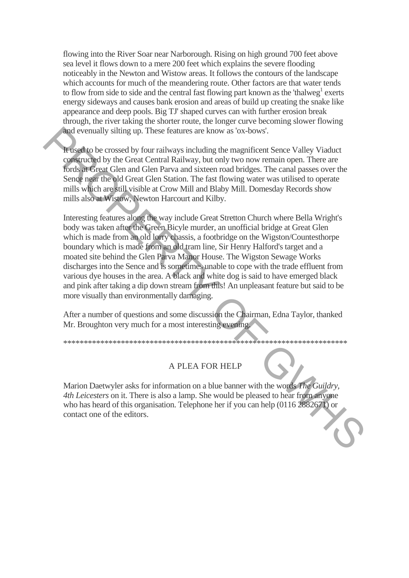flowing into the River Soar near Narborough. Rising on high ground 700 feet above sea level it flows down to a mere 200 feet which explains the severe flooding noticeably in the Newton and Wistow areas. It follows the contours of the landscape which accounts for much of the meandering route. Other factors are that water tends to flow from side to side and the central fast flowing part known as the 'thalweg<sup>1</sup> exerts energy sideways and causes bank erosion and areas of build up creating the snake like appearance and deep pools. Big TJ' shaped curves can with further erosion break through, the river taking the shorter route, the longer curve becoming slower flowing and evenually silting up. These features are know as 'ox-bows'.

It used to be crossed by four railways including the magnificent Sence Valley Viaduct constructed by the Great Central Railway, but only two now remain open. There are fords at Great Glen and Glen Parva and sixteen road bridges. The canal passes over the Sence near the old Great Glen Station. The fast flowing water was utilised to operate mills which are still visible at Crow Mill and Blaby Mill. Domesday Records show mills also at Wistow, Newton Harcourt and Kilby.

Interesting features along the way include Great Stretton Church where Bella Wright's body was taken after the Green Bicyle murder, an unofficial bridge at Great Glen which is made from an old lorry chassis, a footbridge on the Wigston/Countesthorpe boundary which is made from an old tram line, Sir Henry Halford's target and a moated site behind the Glen Parva Manor House. The Wigston Sewage Works discharges into the Sence and is sometimes unable to cope with the trade effluent from various dye houses in the area. A black and white dog is said to have emerged black and pink after taking a dip down stream from this! An unpleasant feature but said to be more visually than environmentally damaging. **Example 19** stilling up. These features are know as 'ox-bows'.<br> **Engineed to** be crossed by four railways including the magnificent Sence Valley Viadott<br> **Constrained by** the Great Cantral Railway, but only two now strum

After a number of questions and some discussion the Chairman, Edna Taylor, thanked Mr. Broughton very much for a most interesting evening.

# A PLEA FOR HELP

\*\*\*\*\*\*\*\*\*\*\*\*\*\*\*\*\*\*\*\*\*\*\*\*\*\*\*\*\*\*\*\*\*\*\*\*\*\*\*\*\*\*\*\*\*\*\*\*\*\*\*\*\*\*\*\*\*\*\*\*\*\*\*\*\*\*\*\*\*

Marion Daetwyler asks for information on a blue banner with the words *The Guildry, 4th Leicesters* on it. There is also a lamp. She would be pleased to hear from anyone who has heard of this organisation. Telephone her if you can help (0116 2882671) or contact one of the editors.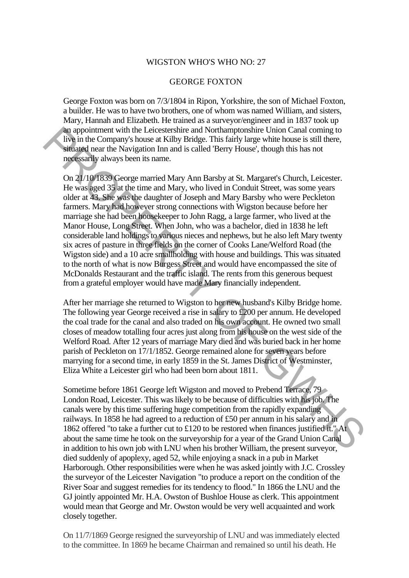### WIGSTON WHO'S WHO NO: 27

#### GEORGE FOXTON

George Foxton was born on 7/3/1804 in Ripon, Yorkshire, the son of Michael Foxton, a builder. He was to have two brothers, one of whom was named William, and sisters, Mary, Hannah and Elizabeth. He trained as a surveyor/engineer and in 1837 took up an appointment with the Leicestershire and Northamptonshire Union Canal coming to live in the Company's house at Kilby Bridge. This fairly large white house is still there, situated near the Navigation Inn and is called 'Berry House', though this has not necessarily always been its name.

On 21/10/1839 George married Mary Ann Barsby at St. Margaret's Church, Leicester. He was aged 35 at the time and Mary, who lived in Conduit Street, was some years older at 43. She was the daughter of Joseph and Mary Barsby who were Peckleton farmers. Mary had however strong connections with Wigston because before her marriage she had been housekeeper to John Ragg, a large farmer, who lived at the Manor House, Long Street. When John, who was a bachelor, died in 1838 he left considerable land holdings to various nieces and nephews, but he also left Mary twenty six acres of pasture in three fields on the corner of Cooks Lane/Welford Road (the Wigston side) and a 10 acre smallholding with house and buildings. This was situated to the north of what is now Burgess Street and would have encompassed the site of McDonalds Restaurant and the traffic island. The rents from this generous bequest from a grateful employer would have made Mary financially independent. An appointment with the Leicestechic num Kordan<br>momental through cannot and the Company's house at Kilby Bridge. This lairly large white house is still there,<br>situated near the Navigation Im and is called 'Berry House', t

After her marriage she returned to Wigston to her new husband's Kilby Bridge home. The following year George received a rise in salary to £200 per annum. He developed the coal trade for the canal and also traded on his own account. He owned two small closes of meadow totalling four acres just along from his house on the west side of the Welford Road. After 12 years of marriage Mary died and was buried back in her home parish of Peckleton on 17/1/1852. George remained alone for seven years before marrying for a second time, in early 1859 in the St. James District of Westminster, Eliza White a Leicester girl who had been born about 1811.

Sometime before 1861 George left Wigston and moved to Prebend Terrace, 79 London Road, Leicester. This was likely to be because of difficulties with his job. The canals were by this time suffering huge competition from the rapidly expanding railways. In 1858 he had agreed to a reduction of £50 per annum in his salary and in 1862 offered "to take a further cut to £120 to be restored when finances justified it." At about the same time he took on the surveyorship for a year of the Grand Union Canal in addition to his own job with LNU when his brother William, the present surveyor, died suddenly of apoplexy, aged 52, while enjoying a snack in a pub in Market Harborough. Other responsibilities were when he was asked jointly with J.C. Crossley the surveyor of the Leicester Navigation "to produce a report on the condition of the River Soar and suggest remedies for its tendency to flood." In 1866 the LNU and the GJ jointly appointed Mr. H.A. Owston of Bushloe House as clerk. This appointment would mean that George and Mr. Owston would be very well acquainted and work closely together.

On 11/7/1869 George resigned the surveyorship of LNU and was immediately elected to the committee. In 1869 he became Chairman and remained so until his death. He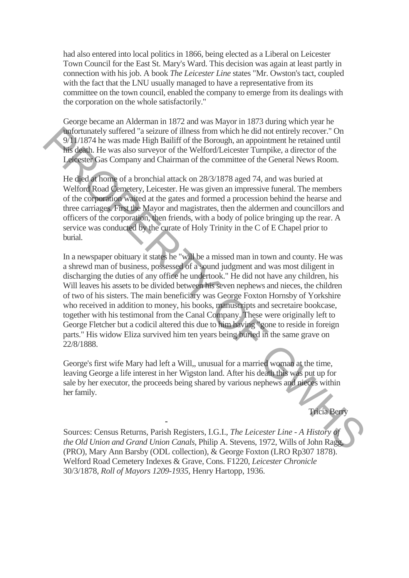had also entered into local politics in 1866, being elected as a Liberal on Leicester Town Council for the East St. Mary's Ward. This decision was again at least partly in connection with his job. A book *The Leicester Line* states "Mr. Owston's tact, coupled with the fact that the LNU usually managed to have a representative from its committee on the town council, enabled the company to emerge from its dealings with the corporation on the whole satisfactorily."

George became an Alderman in 1872 and was Mayor in 1873 during which year he unfortunately suffered "a seizure of illness from which he did not entirely recover." On 9/11/1874 he was made High Bailiff of the Borough, an appointment he retained until his death. He was also surveyor of the Welford/Leicester Turnpike, a director of the Leicester Gas Company and Chairman of the committee of the General News Room.

He died at home of a bronchial attack on 28/3/1878 aged 74, and was buried at Welford Road Cemetery, Leicester. He was given an impressive funeral. The members of the corporation waited at the gates and formed a procession behind the hearse and three carriages. First the Mayor and magistrates, then the aldermen and councillors and officers of the corporation, then friends, with a body of police bringing up the rear. A service was conducted by the curate of Holy Trinity in the C of E Chapel prior to burial.

In a newspaper obituary it states he "will be a missed man in town and county. He was a shrewd man of business, possessed of a sound judgment and was most diligent in discharging the duties of any office he undertook." He did not have any children, his Will leaves his assets to be divided between his seven nephews and nieces, the children of two of his sisters. The main beneficiary was George Foxton Hornsby of Yorkshire who received in addition to money, his books, manuscripts and secretaire bookcase, together with his testimonal from the Canal Company. These were originally left to George Fletcher but a codicil altered this due to him having "gone to reside in foreign parts." His widow Eliza survived him ten years being buried in the same grave on 22/8/1888. **Androw surface of Sixter of Given Confluence and and not curicly recover. On the simulated by surface in Sixter of the Melbod's step and the curiculated minimage of the Melbod's step and the Sixter Curiculated minimage o** 

George's first wife Mary had left a Will,, unusual for a married woman at the time, leaving George a life interest in her Wigston land. After his death this was put up for sale by her executor, the proceeds being shared by various nephews and nieces within her family.

-

Tricia Berry

Sources: Census Returns, Parish Registers, I.G.I., *The Leicester Line - A History of the Old Union and Grand Union Canals,* Philip A. Stevens, 1972, Wills of John Ragg, (PRO), Mary Ann Barsby (ODL collection), & George Foxton (LRO Rp307 1878). Welford Road Cemetery Indexes & Grave, Cons. F1220, *Leicester Chronicle*  30/3/1878, *Roll of Mayors 1209-1935,* Henry Hartopp, 1936.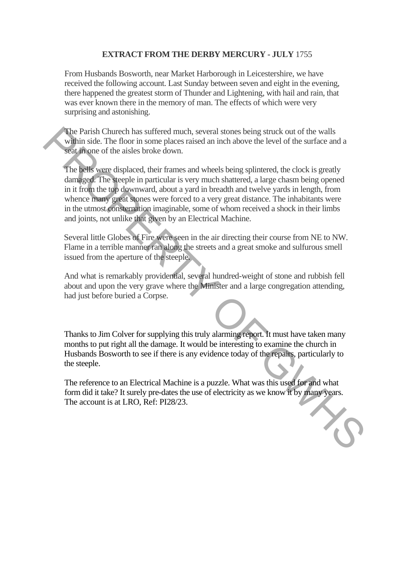# **EXTRACT FROM THE DERBY MERCURY - JULY** 1755

From Husbands Bosworth, near Market Harborough in Leicestershire, we have received the following account. Last Sunday between seven and eight in the evening, there happened the greatest storm of Thunder and Lightening, with hail and rain, that was ever known there in the memory of man. The effects of which were very surprising and astonishing.

The Parish Churech has suffered much, several stones being struck out of the walls within side. The floor in some places raised an inch above the level of the surface and a seat in one of the aisles broke down.

The bells were displaced, their frames and wheels being splintered, the clock is greatly damaged. The steeple in particular is very much shattered, a large chasm being opened in it from the top downward, about a yard in breadth and twelve yards in length, from whence many great stones were forced to a very great distance. The inhabitants were in the utmost consternation imaginable, some of whom received a shock in their limbs and joints, not unlike that given by an Electrical Machine. The Parish Church has suffred much, several stones being struck out of the walls<br>within side. The floor in some places rassed an inch above the level of the surface and a<br>set in one of the aisles broke down.<br>The best were

Several little Globes of Fire were seen in the air directing their course from NE to NW. Flame in a terrible manner ran along the streets and a great smoke and sulfurous smell issued from the aperture of the steeple.

And what is remarkably providential, several hundred-weight of stone and rubbish fell about and upon the very grave where the Minister and a large congregation attending, had just before buried a Corpse.

Thanks to Jim Colver for supplying this truly alarming report. It must have taken many months to put right all the damage. It would be interesting to examine the church in Husbands Bosworth to see if there is any evidence today of the repairs, particularly to the steeple.

The reference to an Electrical Machine is a puzzle. What was this used for and what form did it take? It surely pre-dates the use of electricity as we know it by many years. The account is at LRO, Ref: PI28/23.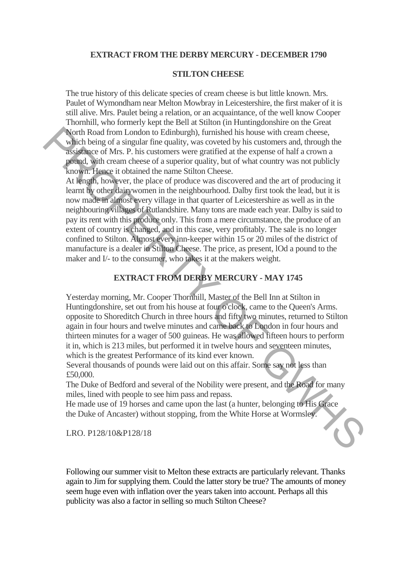### **EXTRACT FROM THE DERBY MERCURY - DECEMBER 1790**

### **STILTON CHEESE**

The true history of this delicate species of cream cheese is but little known. Mrs. Paulet of Wymondham near Melton Mowbray in Leicestershire, the first maker of it is still alive. Mrs. Paulet being a relation, or an acquaintance, of the well know Cooper Thornhill, who formerly kept the Bell at Stilton (in Huntingdonshire on the Great North Road from London to Edinburgh), furnished his house with cream cheese, which being of a singular fine quality, was coveted by his customers and, through the assistance of Mrs. P. his customers were gratified at the expense of half a crown a pound, with cream cheese of a superior quality, but of what country was not publicly known. Hence it obtained the name Stilton Cheese.

At length, however, the place of produce was discovered and the art of producing it learnt by other dairywomen in the neighbourhood. Dalby first took the lead, but it is now made in almost every village in that quarter of Leicestershire as well as in the neighbouring villages of Rutlandshire. Many tons are made each year. Dalby is said to pay its rent with this produce only. This from a mere circumstance, the produce of an extent of country is changed, and in this case, very profitably. The sale is no longer confined to Stilton. Almost every inn-keeper within 15 or 20 miles of the district of manufacture is a dealer in Stilton Cheese. The price, as present, lOd a pound to the maker and I/- to the consumer, who takes it at the makers weight. North Road from London to Edinburgh), furnished his house with cream cheese,<br>which being of a singular line quality, was covered by his cosstomers und, through the<br>assignme of Mrs. P. his customers were gratified at the e

# **EXTRACT FROM DERBY MERCURY - MAY 1745**

Yesterday morning, Mr. Cooper Thornhill, Master of the Bell Inn at Stilton in Huntingdonshire, set out from his house at four o'clock, came to the Queen's Arms. opposite to Shoreditch Church in three hours and fifty two minutes, returned to Stilton again in four hours and twelve minutes and came back to London in four hours and thirteen minutes for a wager of 500 guineas. He was allowed fifteen hours to perform it in, which is 213 miles, but performed it in twelve hours and seventeen minutes, which is the greatest Performance of its kind ever known.

Several thousands of pounds were laid out on this affair. Some say not less than £50,000.

The Duke of Bedford and several of the Nobility were present, and the Road for many miles, lined with people to see him pass and repass.

He made use of 19 horses and came upon the last (a hunter, belonging to His Grace the Duke of Ancaster) without stopping, from the White Horse at Wormsley.

LRO. P128/10&P128/18

Following our summer visit to Melton these extracts are particularly relevant. Thanks again to Jim for supplying them. Could the latter story be true? The amounts of money seem huge even with inflation over the years taken into account. Perhaps all this publicity was also a factor in selling so much Stilton Cheese?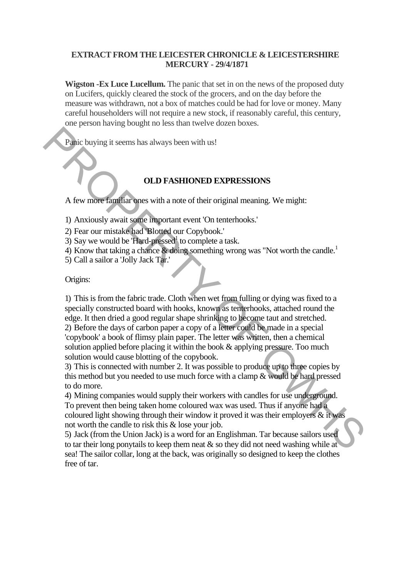# **EXTRACT FROM THE LEICESTER CHRONICLE & LEICESTERSHIRE MERCURY - 29/4/1871**

**Wigston -Ex Luce Lucellum.** The panic that set in on the news of the proposed duty on Lucifers, quickly cleared the stock of the grocers, and on the day before the measure was withdrawn, not a box of matches could be had for love or money. Many careful householders will not require a new stock, if reasonably careful, this century, one person having bought no less than twelve dozen boxes.

Panic buying it seems has always been with us!

# **OLD FASHIONED EXPRESSIONS**

A few more familiar ones with a note of their original meaning. We might:

- 1) Anxiously await some important event 'On tenterhooks.'
- 2) Fear our mistake had 'Blotted our Copybook.'
- 3) Say we would be 'Hard-pressed<sup>1</sup> to complete a task.
- 4) Know that taking a chance & doing something wrong was "Not worth the candle.<sup>1</sup>
- 5) Call a sailor a 'Jolly Jack Tar.'

### Origins:

1) This is from the fabric trade. Cloth when wet from fulling or dying was fixed to a specially constructed board with hooks, known as tenterhooks, attached round the edge. It then dried a good regular shape shrinking to become taut and stretched. 2) Before the days of carbon paper a copy of a letter could be made in a special 'copybook' a book of flimsy plain paper. The letter was written, then a chemical solution applied before placing it within the book & applying pressure. Too much **Plait change of the search of the search of the search of the search of the search of the search of the search of the search of the search of the search of the search of the search of the search of the search of the sear** 

solution would cause blotting of the copybook.

3) This is connected with number 2. It was possible to produce up to three copies by this method but you needed to use much force with a clamp & would be hard pressed to do more.

4) Mining companies would supply their workers with candles for use underground. To prevent then being taken home coloured wax was used. Thus if anyone had a coloured light showing through their window it proved it was their employers & it was not worth the candle to risk this & lose your job.

5) Jack (from the Union Jack) is a word for an Englishman. Tar because sailors used to tar their long ponytails to keep them neat  $\&$  so they did not need washing while at sea! The sailor collar, long at the back, was originally so designed to keep the clothes free of tar.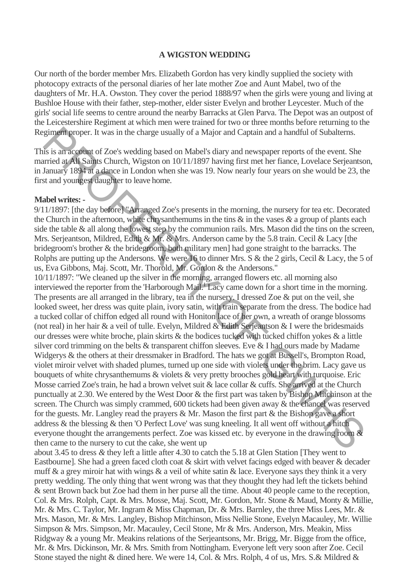## **A WIGSTON WEDDING**

Our north of the border member Mrs. Elizabeth Gordon has very kindly supplied the society with photocopy extracts of the personal diaries of her late mother Zoe and Aunt Mabel, two of the daughters of Mr. H.A. Owston. They cover the period 1888/97 when the girls were young and living at Bushloe House with their father, step-mother, elder sister Evelyn and brother Leycester. Much of the girls' social life seems to centre around the nearby Barracks at Glen Parva. The Depot was an outpost of the Leicestershire Regiment at which men were trained for two or three months before returning to the Regiment proper. It was in the charge usually of a Major and Captain and a handful of Subalterns.

This is an account of Zoe's wedding based on Mabel's diary and newspaper reports of the event. She married at All Saints Church, Wigston on 10/11/1897 having first met her fiance, Lovelace Serjeantson, in January 1894 at a dance in London when she was 19. Now nearly four years on she would be 23, the first and youngest daughter to leave home.

## **Mabel writes: -**

9/11/1897: [the day before] "Arranged Zoe's presents in the morning, the nursery for tea etc. Decorated the Church in the afternoon, white chrysanthemums in the tins & in the vases *&* a group of plants each side the table & all along the lowest step by the communion rails. Mrs. Mason did the tins on the screen, Mrs. Serjeantson, Mildred, Edith & Mr. & Mrs. Anderson came by the 5.8 train. Cecil & Lacy [the bridegroom's brother & the bridegroom, both military men] had gone straight to the barracks. The Rolphs are putting up the Andersons. We were 16 to dinner Mrs. S & the 2 girls, Cecil & Lacy, the 5 of us, Eva Gibbons, Maj. Scott, Mr. Thorold, Mr. Gordon & the Andersons."

10/11/1897: "We cleaned up the silver in the morning, arranged flowers etc. all morning also interviewed the reporter from the 'Harborough Mail.<sup>1</sup> Lacy came down for a short time in the morning. The presents are all arranged in the library, tea in the nursery. I dressed Zoe & put on the veil, she looked sweet, her dress was quite plain, ivory satin, with train separate from the dress. The bodice had a tucked collar of chiffon edged all round with Honiton lace of her own, a wreath of orange blossoms (not real) in her hair & a veil of tulle. Evelyn, Mildred & Edith Serjeantson & I were the bridesmaids our dresses were white broche, plain skirts & the bodices tucked with tucked chiffon yokes & a little silver cord trimming on the belts & transparent chiffon sleeves. Eve & I had ours made by Madame Widgerys & the others at their dressmaker in Bradford. The hats we got at Bussell's, Brompton Road, violet miroir velvet with shaded plumes, turned up one side with violets under the brim. Lacy gave us bouquets of white chrysanthemums & violets & very pretty brooches gold heart with turquoise. Eric Mosse carried Zoe's train, he had a brown velvet suit & lace collar & cuffs. She arrived at the Church punctually at 2.30. We entered by the West Door & the first part was taken by Bishop Mitchinson at the screen. The Church was simply crammed, 600 tickets had been given away & the chancel was reserved for the guests. Mr. Langley read the prayers & Mr. Mason the first part & the Bishop gave a short address & the blessing & then 'O Perfect Love' was sung kneeling. It all went off without a hitch everyone thought the arrangements perfect. Zoe was kissed etc. by everyone in the drawing room & then came to the nursery to cut the cake, she went up giment proper. It was in the charge usually of a Major and Captain and a handful of Subatterns.<br>
is is un'acsount of Zoc's wedding based on Mabel's diary and newspaper reports of the event. She<br>
principa All Saints Church,

about 3.45 to dress *&* they left a little after 4.30 to catch the 5.18 at Glen Station [They went to Eastbourne]. She had a green faced cloth coat & skirt with velvet facings edged with beaver & decader muff & a grey miroir hat with wings & a veil of white satin & lace. Everyone says they think it a very pretty wedding. The only thing that went wrong was that they thought they had left the tickets behind & sent Brown back but Zoe had them in her purse all the time. About 40 people came to the reception, Col. & Mrs. Rolph, Capt. & Mrs. Mosse, Maj. Scott, Mr. Gordon, Mr. Stone & Maud, Monty & Millie, Mr. & Mrs. C. Taylor, Mr. Ingram & Miss Chapman, Dr. & Mrs. Barnley, the three Miss Lees, Mr. & Mrs. Mason, Mr. & Mrs. Langley, Bishop Mitchinson, Miss Nellie Stone, Evelyn Macauley, Mr. Willie Simpson & Mrs. Simpson, Mr. Macauley, Cecil Stone, Mr & Mrs. Anderson, Mrs. Meakin, Miss Ridgway & a young Mr. Meakins relations of the Serjeantsons, Mr. Brigg, Mr. Bigge from the office, Mr. & Mrs. Dickinson, Mr. & Mrs. Smith from Nottingham. Everyone left very soon after Zoe. Cecil Stone stayed the night & dined here. We were 14, Col. & Mrs. Rolph, 4 of us, Mrs. S.& Mildred &